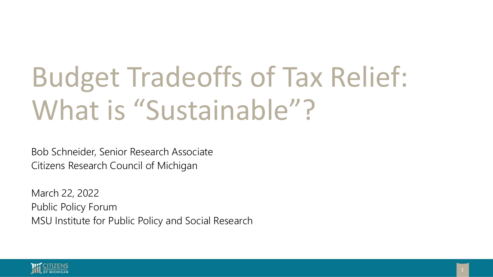# Budget Tradeoffs of Tax Relief: What is "Sustainable"?

Bob Schneider, Senior Research Associate Citizens Research Council of Michigan

March 22, 2022 Public Policy Forum MSU Institute for Public Policy and Social Research

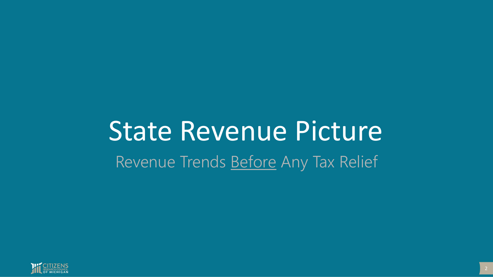## State Revenue Picture Revenue Trends Before Any Tax Relief

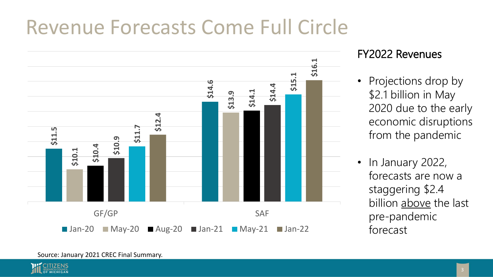#### Revenue Forecasts Come Full Circle



#### FY2022 Revenues

- Projections drop by \$2.1 billion in May 2020 due to the early economic disruptions from the pandemic
- In January 2022, forecasts are now a staggering \$2.4 billion above the last pre-pandemic forecast

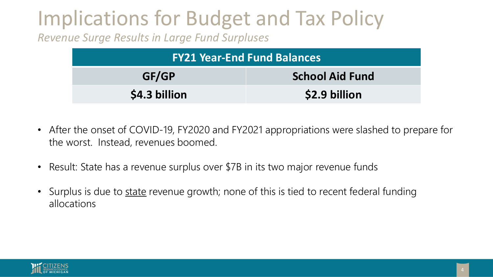### Implications for Budget and Tax Policy

*Revenue Surge Results in Large Fund Surpluses*

| <b>FY21 Year-End Fund Balances</b> |                        |  |  |
|------------------------------------|------------------------|--|--|
| GF/GP                              | <b>School Aid Fund</b> |  |  |
| \$4.3 billion                      | \$2.9 billion          |  |  |

- After the onset of COVID-19, FY2020 and FY2021 appropriations were slashed to prepare for the worst. Instead, revenues boomed.
- Result: State has a revenue surplus over \$7B in its two major revenue funds
- Surplus is due to state revenue growth; none of this is tied to recent federal funding allocations

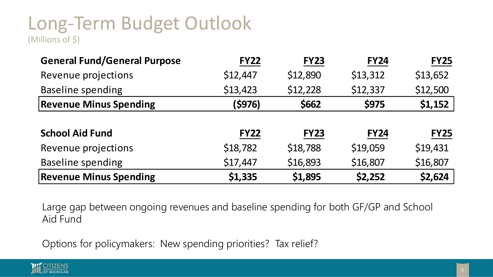#### Long-Term Budget Outlook (Millions of \$)

| (Millions of Ş |  |
|----------------|--|
|----------------|--|

| <b>FY22</b>                                                                                                                     | <b>FY23</b> | <b>FY24</b>                                                    | <b>FY25</b> |  |  |  |
|---------------------------------------------------------------------------------------------------------------------------------|-------------|----------------------------------------------------------------|-------------|--|--|--|
| \$12,447                                                                                                                        | \$12,890    | \$13,312                                                       | \$13,652    |  |  |  |
| \$13,423                                                                                                                        | \$12,228    | \$12,337                                                       | \$12,500    |  |  |  |
| (\$976)                                                                                                                         | \$662       | \$975                                                          | \$1,152     |  |  |  |
|                                                                                                                                 |             |                                                                |             |  |  |  |
| <b>FY22</b>                                                                                                                     | <b>FY23</b> | <b>FY24</b>                                                    | <b>FY25</b> |  |  |  |
| \$18,782                                                                                                                        | \$18,788    | \$19,059                                                       | \$19,431    |  |  |  |
| \$17,447                                                                                                                        | \$16,893    | \$16,807                                                       | \$16,807    |  |  |  |
| \$1,335                                                                                                                         | \$1,895     | \$2,252                                                        | \$2,624     |  |  |  |
| <b>Revenue Minus Spending</b><br>Large gap between ongoing revenues and baseline spending for both GF/GP and School<br>Aid Fund |             |                                                                |             |  |  |  |
|                                                                                                                                 |             | Options for policymakers: New spending priorities? Tax relief? |             |  |  |  |

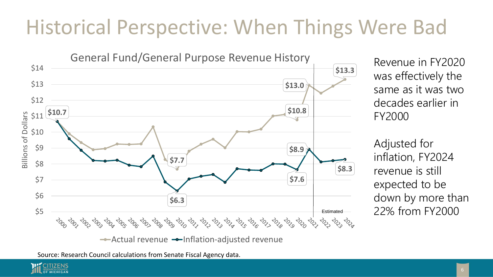#### Historical Perspective: When Things Were Bad



Revenue in FY2020 was effectively the same as it was two decades earlier in FY2000

Adjusted for inflation, FY2024 revenue is still expected to be down by more than 22% from FY2000

Source: Research Council calculations from Senate Fiscal Agency data.

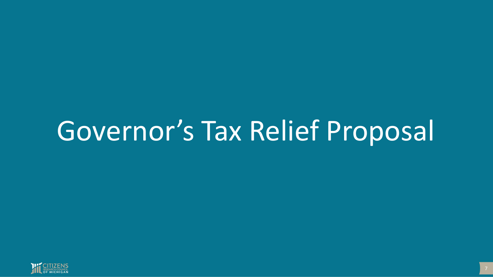## Governor's Tax Relief Proposal

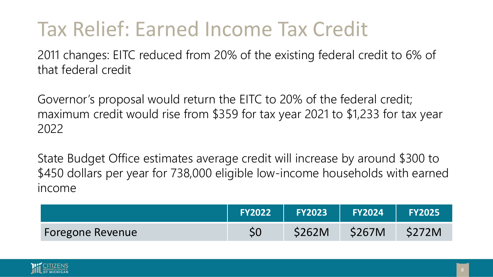#### Tax Relief: Earned Income Tax Credit

2011 changes: EITC reduced from 20% of the existing federal credit to 6% of that federal credit

Governor's proposal would return the EITC to 20% of the federal credit; maximum credit would rise from \$359 for tax year 2021 to \$1,233 for tax year 2022

State Budget Office estimates average credit will increase by around \$300 to \$450 dollars per year for 738,000 eligible low-income households with earned income

|                         | <b>FY2022</b> | <b>FY2023</b> | <b>FY2024</b> | <b>FY2025</b> |
|-------------------------|---------------|---------------|---------------|---------------|
| <b>Foregone Revenue</b> |               | \$262M        | <b>\$267M</b> | <b>\$272M</b> |

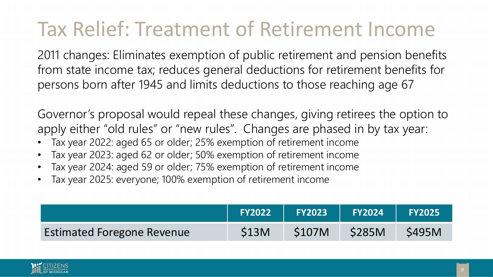#### Tax Relief: Treatment of Retirement Income

2011 changes: Eliminates exemption of public retirement and pension benefits from state income tax; reduces general deductions for retirement benefits for persons born after 1945 and limits deductions to those reaching age 67

Governor's proposal would repeal these changes, giving retirees the option to apply either "old rules" or "new rules". Changes are phased in by tax year:

- Tax year 2022: aged 65 or older; 25% exemption of retirement income
- Tax year 2023: aged 62 or older; 50% exemption of retirement income
- Tax year 2024: aged 59 or older; 75% exemption of retirement income
- Tax year 2025: everyone; 100% exemption of retirement income

|                                   | <b>FY2022</b> | <b>FY2023</b> | FY2024       | <b>FY2025</b> |
|-----------------------------------|---------------|---------------|--------------|---------------|
| <b>Estimated Foregone Revenue</b> | <b>S13M</b>   | S107M         | <b>S285M</b> | <b>S495M</b>  |

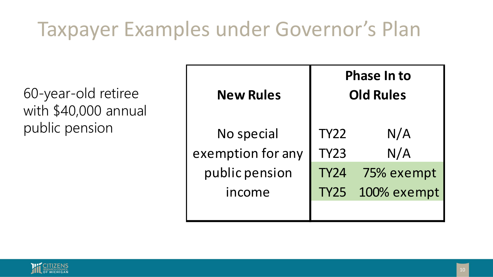### Taxpayer Examples under Governor's Plan

60-year-old retiree with \$40,000 annual public pension

| <b>New Rules</b>  | <b>Phase In to</b><br><b>Old Rules</b> |             |  |  |
|-------------------|----------------------------------------|-------------|--|--|
| No special        | <b>TY22</b>                            | N/A         |  |  |
| exemption for any | <b>TY23</b>                            | N/A         |  |  |
| public pension    | <b>TY24</b>                            | 75% exempt  |  |  |
| income            | <b>TY25</b>                            | 100% exempt |  |  |
|                   |                                        |             |  |  |

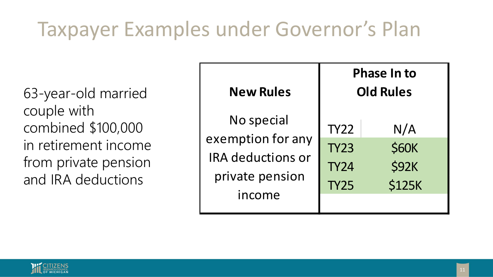### Taxpayer Examples under Governor's Plan

63-year-old married couple with combined \$100,000 in retirement income from private pension and IRA deductions

| <b>New Rules</b>                                                                         | <b>Phase In to</b><br><b>Old Rules</b>                   |                                                      |  |  |
|------------------------------------------------------------------------------------------|----------------------------------------------------------|------------------------------------------------------|--|--|
| No special<br>exemption for any<br><b>IRA</b> deductions or<br>private pension<br>income | <b>TY22</b><br><b>TY23</b><br><b>TY24</b><br><b>TY25</b> | N/A<br><b>\$60K</b><br><b>\$92K</b><br><b>\$125K</b> |  |  |

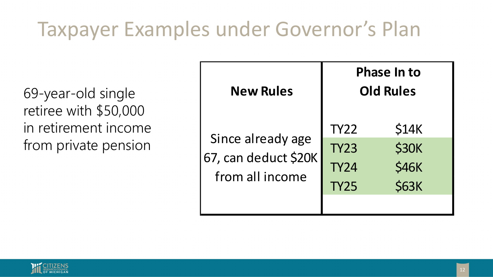### Taxpayer Examples under Governor's Plan

69-year-old single retiree with \$50,000 in retirement income from private pension

| <b>New Rules</b>                                             | <b>Phase In to</b><br><b>Old Rules</b>                   |                                                       |  |
|--------------------------------------------------------------|----------------------------------------------------------|-------------------------------------------------------|--|
| Since already age<br>67, can deduct \$20K<br>from all income | <b>TY22</b><br><b>TY23</b><br><b>TY24</b><br><b>TY25</b> | \$14K<br><b>\$30K</b><br><b>\$46K</b><br><b>\$63K</b> |  |

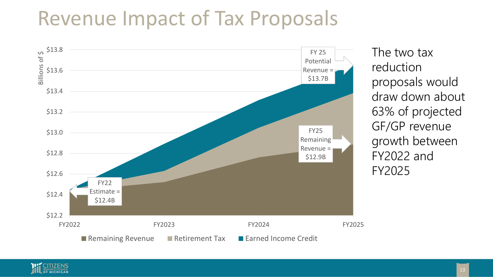#### Revenue Impact of Tax Proposals



The two tax reduction proposals would draw down about 63% of projected GF/GP revenue growth between FY2022 and FY2025

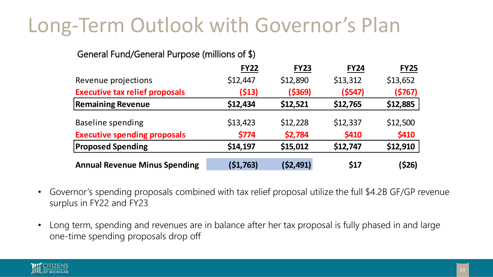#### Long-Term Outlook with Governor's Plan

#### General Fund/General Purpose (millions of \$)

|                                       | <b>FY22</b> | <b>FY23</b> | <b>FY24</b> | <b>FY25</b> |
|---------------------------------------|-------------|-------------|-------------|-------------|
| Revenue projections                   | \$12,447    | \$12,890    | \$13,312    | \$13,652    |
| <b>Executive tax relief proposals</b> | (513)       | (5369)      | (5547)      | (5767)      |
| <b>Remaining Revenue</b>              | \$12,434    | \$12,521    | \$12,765    | \$12,885    |
| <b>Baseline spending</b>              | \$13,423    | \$12,228    | \$12,337    | \$12,500    |
| <b>Executive spending proposals</b>   | \$774       | \$2,784     | \$410       | \$410       |
| <b>Proposed Spending</b>              | \$14,197    | \$15,012    | \$12,747    | \$12,910    |
| <b>Annual Revenue Minus Spending</b>  | (51, 763)   | (52, 491)   | \$17        | (\$26)      |

- Governor's spending proposals combined with tax relief proposal utilize the full \$4.2B GF/GP revenue surplus in FY22 and FY23
- Long term, spending and revenues are in balance after her tax proposal is fully phased in and large one-time spending proposals drop off

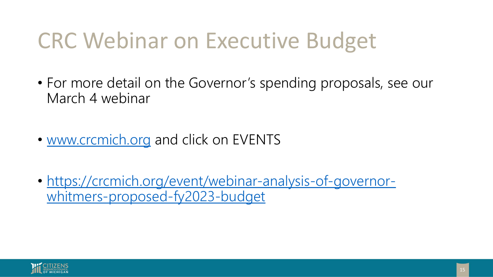### CRC Webinar on Executive Budget

- For more detail on the Governor's spending proposals, see our March 4 webinar
- [www.crcmich.org](http://www.crcmich.org/) and click on EVENTS
- [https://crcmich.org/event/webinar-analysis-of-governor](https://crcmich.org/event/webinar-analysis-of-governor-whitmers-proposed-fy2023-budget)whitmers-proposed-fy2023-budget

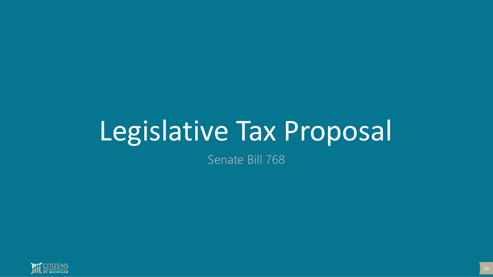## Legislative Tax Proposal

Senate Bill 768

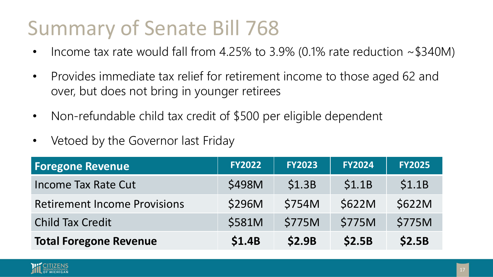#### Summary of Senate Bill 768

- Income tax rate would fall from 4.25% to 3.9% (0.1% rate reduction  $\sim$  \$340M)
- Provides immediate tax relief for retirement income to those aged 62 and over, but does not bring in younger retirees
- Non-refundable child tax credit of \$500 per eligible dependent
- Vetoed by the Governor last Friday

| <b>Foregone Revenue</b>             | <b>FY2022</b> | <b>FY2023</b> | <b>FY2024</b> | <b>FY2025</b> |
|-------------------------------------|---------------|---------------|---------------|---------------|
| <b>Income Tax Rate Cut</b>          | \$498M        | \$1.3B        | \$1.1B        | \$1.1B        |
| <b>Retirement Income Provisions</b> | \$296M        | \$754M        | <b>\$622M</b> | \$622M        |
| <b>Child Tax Credit</b>             | \$581M        | \$775M        | <b>\$775M</b> | \$775M        |
| <b>Total Foregone Revenue</b>       | <b>\$1.4B</b> | <b>\$2.9B</b> | \$2.5B        | \$2.5B        |

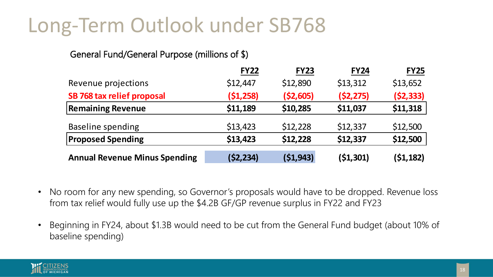#### Long-Term Outlook under SB768

#### General Fund/General Purpose (millions of \$)

|                                      | <b>FY22</b> | <b>FY23</b> | <b>FY24</b> | <b>FY25</b> |
|--------------------------------------|-------------|-------------|-------------|-------------|
| Revenue projections                  | \$12,447    | \$12,890    | \$13,312    | \$13,652    |
| SB 768 tax relief proposal           | (51, 258)   | ( \$2,605)  | (52, 275)   | (52, 333)   |
| <b>Remaining Revenue</b>             | \$11,189    | \$10,285    | \$11,037    | \$11,318    |
| <b>Baseline spending</b>             | \$13,423    | \$12,228    | \$12,337    | \$12,500    |
| <b>Proposed Spending</b>             | \$13,423    | \$12,228    | \$12,337    | \$12,500    |
| <b>Annual Revenue Minus Spending</b> | (52, 234)   | (51, 943)   | (51, 301)   | (51, 182)   |

- No room for any new spending, so Governor's proposals would have to be dropped. Revenue loss from tax relief would fully use up the \$4.2B GF/GP revenue surplus in FY22 and FY23
- Beginning in FY24, about \$1.3B would need to be cut from the General Fund budget (about 10% of baseline spending)

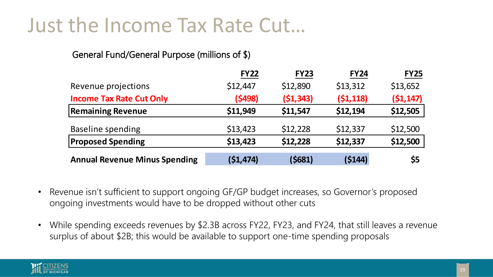#### Just the Income Tax Rate Cut…

#### General Fund/General Purpose (millions of \$)

|                                      | <b>FY22</b> | <b>FY23</b> | <b>FY24</b> | <b>FY25</b> |
|--------------------------------------|-------------|-------------|-------------|-------------|
| Revenue projections                  | \$12,447    | \$12,890    | \$13,312    | \$13,652    |
| <b>Income Tax Rate Cut Only</b>      | (5498)      | (51, 343)   | (51, 118)   | (51, 147)   |
| <b>Remaining Revenue</b>             | \$11,949    | \$11,547    | \$12,194    | \$12,505    |
| <b>Baseline spending</b>             | \$13,423    | \$12,228    | \$12,337    | \$12,500    |
| <b>Proposed Spending</b>             | \$13,423    | \$12,228    | \$12,337    | \$12,500    |
| <b>Annual Revenue Minus Spending</b> | (51, 474)   | (\$681)     | (5144)      | \$5         |

- Revenue isn't sufficient to support ongoing GF/GP budget increases, so Governor's proposed ongoing investments would have to be dropped without other cuts
- While spending exceeds revenues by \$2.3B across FY22, FY23, and FY24, that still leaves a revenue surplus of about \$2B; this would be available to support one-time spending proposals

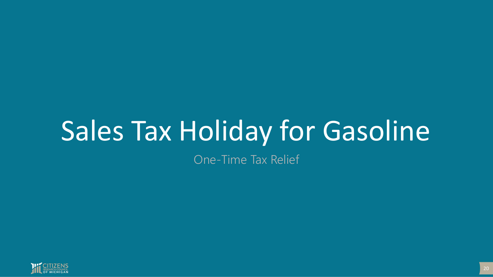## Sales Tax Holiday for Gasoline

One-Time Tax Relief

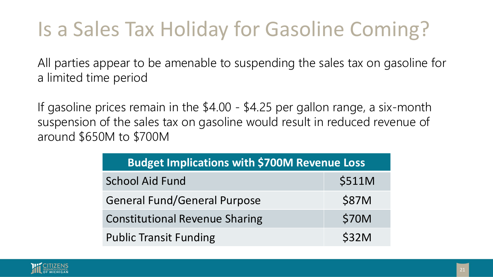### Is a Sales Tax Holiday for Gasoline Coming?

All parties appear to be amenable to suspending the sales tax on gasoline for a limited time period

If gasoline prices remain in the \$4.00 - \$4.25 per gallon range, a six-month suspension of the sales tax on gasoline would result in reduced revenue of around \$650M to \$700M

| <b>Budget Implications with \$700M Revenue Loss</b> |              |
|-----------------------------------------------------|--------------|
| <b>School Aid Fund</b>                              | \$511M       |
| <b>General Fund/General Purpose</b>                 | \$87M        |
| <b>Constitutional Revenue Sharing</b>               | <b>\$70M</b> |
| <b>Public Transit Funding</b>                       | <b>\$32M</b> |